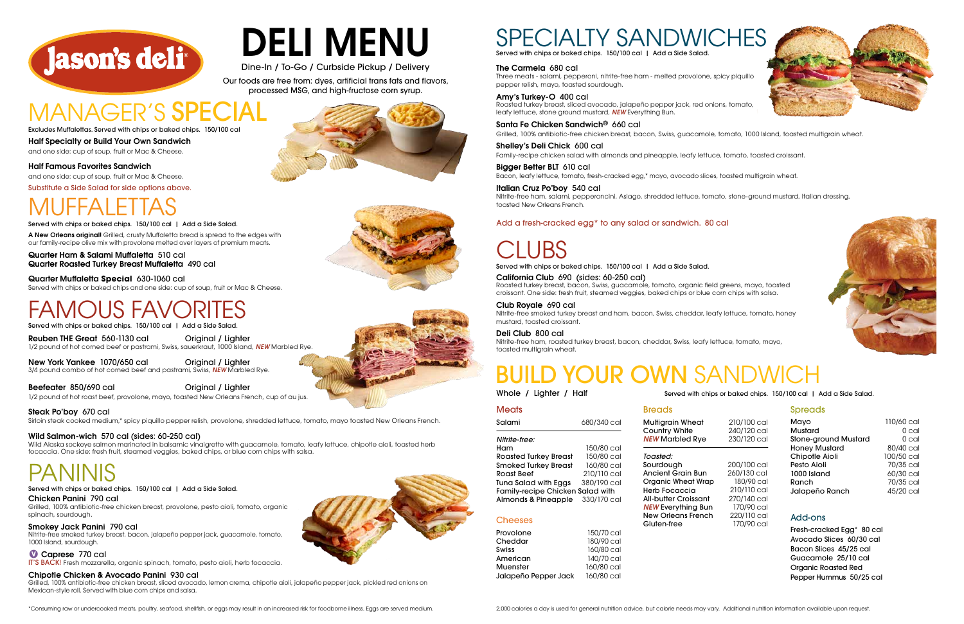Salami 680/340 cal

**Multiarain Wheat Country White NEW Marbled Rve** 

Toasted: Sourdough **Ancient Grain Bun Organic Wheat Wrap Herb Focaccia All-butter Croissant NEW Everything Bur New Orleans French** 

Gluten-free

### **Cheeses**

*Nitrite-free:* Ham 150/80 cal

Roasted Turkey Breast 150/80 cal Smoked Turkey Breast 160/80 cal Roast Beef 210/110 cal Tuna Salad with Eggs 380/190 cal

Family-recipe Chicken Salad with

### Almonds & Pineapple 330/170 cal





### Add-ons

Fresh-cracked Egg\* 80 cal Avocado Slices 60/30 cal Bacon Slices 45/25 cal Guacamole 25/10 cal Organic Roasted Red Pepper Hummus 50/25 cal

| Mayo                        | 110/60 cal |
|-----------------------------|------------|
| Mustard                     | 0 cal      |
| <b>Stone-ground Mustard</b> | 0 cal      |
| <b>Honey Mustard</b>        | 80/40 cal  |
| Chipotle Aioli              | 100/50 cal |
| Pesto Aioli                 | 70/35 cal  |
| 1000 Island                 | 60/30 cal  |
| Ranch                       | 70/35 cal  |
| Jalapeño Ranch              | 45/20 cal  |
|                             |            |

# BUILD YOUR OWN SANDWICH

**Breads** 

| 210/100 cal<br>240/120 cal<br>230/120 cal |
|-------------------------------------------|
|-------------------------------------------|

Reuben THE Great 560-1130 cal Criginal / Lighter 1/2 pound of hot corned beef or pastrami, Swiss, sauerkraut, 1000 Island, *NEW* Marbled Rye.

|   | 200/100 cal |
|---|-------------|
|   | 260/130 cal |
| р | 180/90 cal  |
|   | 210/110 cal |
|   | 270/140 cal |
| n | 170/90 cal  |
|   | 220/110 cal |
|   | 170/90 cal  |
|   |             |

### **Spreads**

New York Yankee 1070/650 cal Original / Lighter 3/4 pound combo of hot corned beef and pastrami, Swiss, *NEW* Marbled Rye.

Beefeater 850/690 cal **Original / Lighter** 

Whole / Lighter / Half

**Meats** 

| Provolone            | 150/70 cal |
|----------------------|------------|
| Cheddar              | 180/90 cal |
| Swiss                | 160/80 cal |
| American             | 140/70 cal |
| Muenster             | 160/80 cal |
| Jalapeño Pepper Jack | 160/80 cal |
|                      |            |

Half Specialty or Build Your Own Sandwich and one side: cup of soup, fruit or Mac & Cheese. Excludes Muffalettas. Served with chips or baked chips. 150/100 cal

Half Famous Favorites Sandwich and one side: cup of soup, fruit or Mac & Cheese.

1/2 pound of hot roast beef, provolone, mayo, toasted New Orleans French, cup of au jus.

### Steak Po'boy 670 cal

Sirloin steak cooked medium,\* spicy piquillo pepper relish, provolone, shredded lettuce, tomato, mayo toasted New Orleans French.

### Wild Salmon-wich 570 cal (sides: 60-250 cal)

Wild Alaska sockeye salmon marinated in balsamic vinaigrette with guacamole, tomato, leafy lettuce, chipotle aioli, toasted herb focaccia. One side: fresh fruit, steamed veggies, baked chips, or blue corn chips with salsa.

# MUFFALETTAS

Served with chips or baked chips. 150/100 cal | Add a Side Salad.

Quarter Ham & Salami Muffaletta 510 cal Quarter Roasted Turkey Breast Muffaletta 490 cal

Quarter Muffaletta **Special** 630-1060 cal Served with chips or baked chips and one side: cup of soup, fruit or Mac & Cheese.

## FAMOUS FAVORITES

Served with chips or baked chips. 150/100 cal | Add a Side Salad

Chicken Panini 790 cal

Grilled, 100% antibiotic-free chicken breast, provolone, pesto aioli, tomato, organic spinach, sourdough.

#### Smokey Jack Panini 790 cal

Nitrite-free smoked turkey breast, bacon, jalapeño pepper jack, guacamole, tomato, 1000 Island, sourdough.

### Caprese 770 cal

IT'S BACK! Fresh mozzarella, organic spinach, tomato, pesto aioli, herb focaccia.

### Chipotle Chicken & Avocado Panini 930 cal

Grilled, 100% antibiotic-free chicken breast, sliced avocado, lemon crema, chipotle aioli, jalapeño pepper jack, pickled red onions on Mexican-style roll. Served with blue corn chips and salsa.



### DELI MENU Dine-In / To-Go / Curbside Pickup / Delivery

Our foods are free from: dyes, artificial trans fats and flavors,

processed MSG, and high-fructose corn syrup.

# MANAGER'S SPEC

A New Orleans original! Grilled, crusty Muffaletta bread is spread to the edges with our family-recipe olive mix with provolone melted over layers of premium meats.

### PANINIS

#### Served with chips or baked chips. 150/100 cal | Add a Side Salad.

Santa Fe Chicken Sandwich® 660 cal Grilled, 100% antibiotic-free chicken breast, bacon, Swiss, guacamole, tomato, 1000 Island, toasted multigrain wheat.

Shelley's Deli Chick 600 cal Family-recipe chicken salad with almonds and pineapple, leafy lettuce, tomato, toasted croissant.

Bigger Better BLT 610 cal Bacon, leafy lettuce, tomato, fresh-cracked egg,\* mayo, avocado slices, toasted multigrain wheat.



Served with chips or baked chips. 150/100 cal | Add a Side Salad.

California Club 690 (sides: 60-250 cal)

Roasted turkey breast, bacon, Swiss, guacamole, tomato, organic field greens, mayo, toasted croissant. One side: fresh fruit, steamed veggies, baked chips or blue corn chips with salsa.

### Club Royale 690 cal

Nitrite-free smoked turkey breast and ham, bacon, Swiss, cheddar, leafy lettuce, tomato, honey mustard, toasted croissant.

### Deli Club 800 cal

Nitrite-free ham, roasted turkey breast, bacon, cheddar, Swiss, leafy lettuce, tomato, mayo, toasted multigrain wheat.

Italian Cruz Po'boy 540 cal Nitrite-free ham, salami, pepperoncini, Asiago, shredded lettuce, tomato, stone-ground mustard, Italian dressing, toasted New Orleans French.

2,000 calories a day is used for general nutrition advice, but calorie needs may vary. Additional nutrition information available upon request.







Served with chips or baked chips. 150/100 cal | Add a Side Salad.

Served with chips or baked chips. 150/100 cal | Add a Side Salad.

Substitute a Side Salad for side options above.

### Add a fresh-cracked egg\* to any salad or sandwich. 80 cal

# JBS

\*Consuming raw or undercooked meats, poultry, seafood, shellfish, or eggs may result in an increased risk for foodborne illness. Eggs are served medium.

The Carmela 680 cal

Three meats - salami, pepperoni, nitrite-free ham - melted provolone, spicy piquillo pepper relish, mayo, toasted sourdough.

Amy's Turkey-O 400 cal Roasted turkey breast, sliced avocado, jalapeño pepper jack, red onions, tomato, leafy lettuce, stone ground mustard, *NEW* Everything Bun.